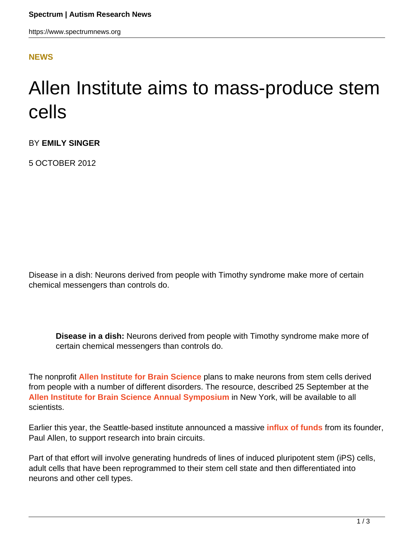## **[NEWS](HTTPS://WWW.SPECTRUMNEWS.ORG/NEWS/)**

## Allen Institute aims to mass-produce stem cells

BY **EMILY SINGER**

5 OCTOBER 2012

Disease in a dish: Neurons derived from people with Timothy syndrome make more of certain chemical messengers than controls do.

**Disease in a dish:** Neurons derived from people with Timothy syndrome make more of certain chemical messengers than controls do.

The nonprofit **[Allen Institute for Brain Science](http://www.alleninstitute.org/)** plans to make neurons from stem cells derived from people with a number of different disorders. The resource, described 25 September at the **[Allen Institute for Brain Science Annual Symposium](http://www.alleninstitute.org/events/symposium/index.html)** in New York, will be available to all scientists.

Earlier this year, the Seattle-based institute announced a massive **[influx of funds](https://www.spectrumnews.org/news/2012/massive-effort-planned-to-map-visual-brain-in-mice)** from its founder, Paul Allen, to support research into brain circuits.

Part of that effort will involve generating hundreds of lines of induced pluripotent stem (iPS) cells, adult cells that have been reprogrammed to their stem cell state and then differentiated into neurons and other cell types.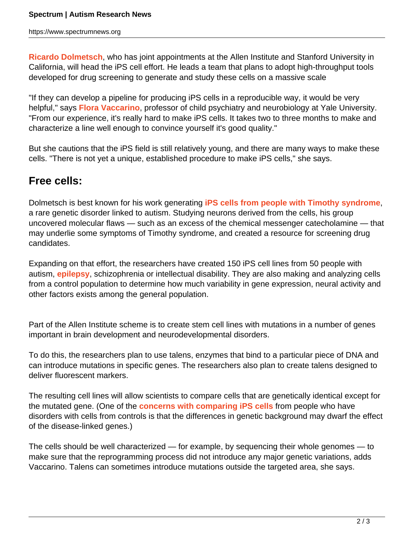**[Ricardo Dolmetsch](https://www.spectrumnews.org/investigator-profiles/2011/ricardo-dolmetsch-regenerating-the-cells-of-autism)**, who has joint appointments at the Allen Institute and Stanford University in California, will head the iPS cell effort. He leads a team that plans to adopt high-throughput tools developed for drug screening to generate and study these cells on a massive scale

"If they can develop a pipeline for producing iPS cells in a reproducible way, it would be very helpful," says **[Flora Vaccarino](/author/?author=https%3A%2Fid.sfari.org%2Ffloravaccarino)**, professor of child psychiatry and neurobiology at Yale University. "From our experience, it's really hard to make iPS cells. It takes two to three months to make and characterize a line well enough to convince yourself it's good quality."

But she cautions that the iPS field is still relatively young, and there are many ways to make these cells. "There is not yet a unique, established procedure to make iPS cells," she says.

## **Free cells:**

Dolmetsch is best known for his work generating **[iPS cells from people with Timothy syndrome](../../../news/2011/neurons-made-from-stem-cells-reveal-cellular-flaws-in-autism)**, a rare genetic disorder linked to autism. Studying neurons derived from the cells, his group uncovered molecular flaws — such as an excess of the chemical messenger catecholamine — that may underlie some symptoms of Timothy syndrome, and created a resource for screening drug candidates.

Expanding on that effort, the researchers have created 150 iPS cell lines from 50 people with autism, **[epilepsy](http://www.spectrumnews.org/wiki/epilepsy)**, schizophrenia or intellectual disability. They are also making and analyzing cells from a control population to determine how much variability in gene expression, neural activity and other factors exists among the general population.

Part of the Allen Institute scheme is to create stem cell lines with mutations in a number of genes important in brain development and neurodevelopmental disorders.

To do this, the researchers plan to use talens, enzymes that bind to a particular piece of DNA and can introduce mutations in specific genes. The researchers also plan to create talens designed to deliver fluorescent markers.

The resulting cell lines will allow scientists to compare cells that are genetically identical except for the mutated gene. (One of the **[concerns with comparing iPS cells](https://www.spectrumnews.org/conference-news/2012/roche-translational-neuroscience-symposium/debate-over-quality-of-adult-derived-stem-cells-rages-on)** from people who have disorders with cells from controls is that the differences in genetic background may dwarf the effect of the disease-linked genes.)

The cells should be well characterized — for example, by sequencing their whole genomes — to make sure that the reprogramming process did not introduce any major genetic variations, adds Vaccarino. Talens can sometimes introduce mutations outside the targeted area, she says.